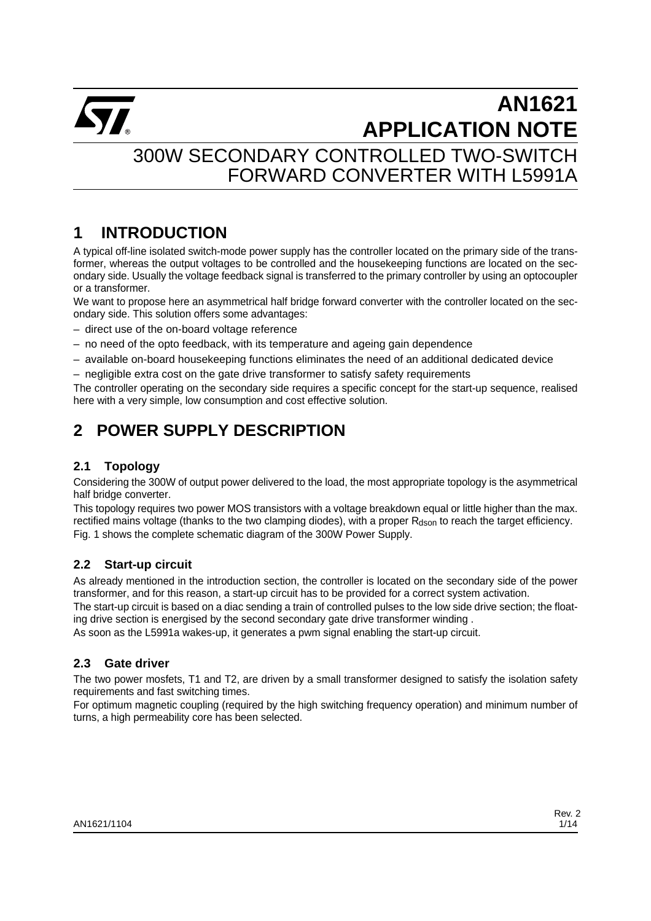

## 300W SECONDARY CONTROLLED TWO-SWITCH FORWARD CONVERTER WITH L5991A

## **1 INTRODUCTION**

A typical off-line isolated switch-mode power supply has the controller located on the primary side of the transformer, whereas the output voltages to be controlled and the housekeeping functions are located on the secondary side. Usually the voltage feedback signal is transferred to the primary controller by using an optocoupler or a transformer.

We want to propose here an asymmetrical half bridge forward converter with the controller located on the secondary side. This solution offers some advantages:

- direct use of the on-board voltage reference
- no need of the opto feedback, with its temperature and ageing gain dependence
- available on-board housekeeping functions eliminates the need of an additional dedicated device
- negligible extra cost on the gate drive transformer to satisfy safety requirements

The controller operating on the secondary side requires a specific concept for the start-up sequence, realised here with a very simple, low consumption and cost effective solution.

## **2 POWER SUPPLY DESCRIPTION**

## **2.1 Topology**

Considering the 300W of output power delivered to the load, the most appropriate topology is the asymmetrical half bridge converter.

This topology requires two power MOS transistors with a voltage breakdown equal or little higher than the max. rectified mains voltage (thanks to the two clamping diodes), with a proper  $R_{\rm dson}$  to reach the target efficiency. Fig. 1 shows the complete schematic diagram of the 300W Power Supply.

## **2.2 Start-up circuit**

As already mentioned in the introduction section, the controller is located on the secondary side of the power transformer, and for this reason, a start-up circuit has to be provided for a correct system activation.

The start-up circuit is based on a diac sending a train of controlled pulses to the low side drive section; the floating drive section is energised by the second secondary gate drive transformer winding .

As soon as the L5991a wakes-up, it generates a pwm signal enabling the start-up circuit.

### **2.3 Gate driver**

The two power mosfets, T1 and T2, are driven by a small transformer designed to satisfy the isolation safety requirements and fast switching times.

For optimum magnetic coupling (required by the high switching frequency operation) and minimum number of turns, a high permeability core has been selected.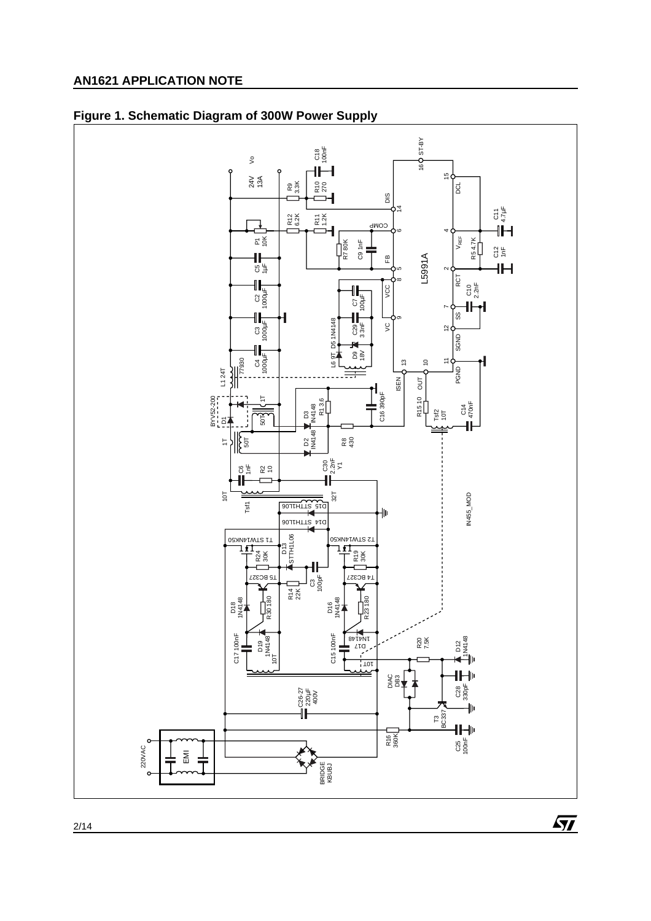

## **Figure 1. Schematic Diagram of 300W Power Supply**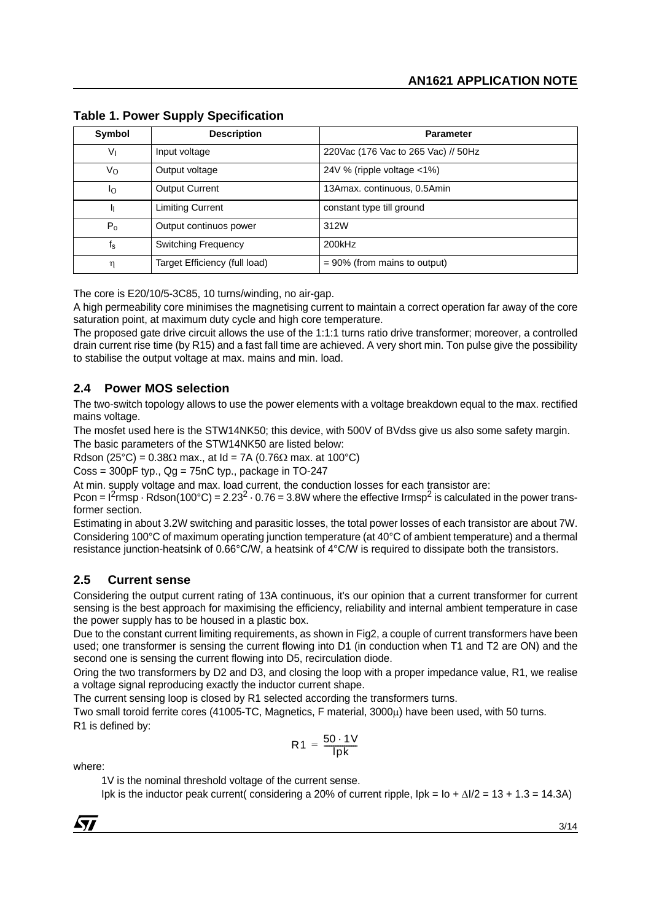| Symbol                  | <b>Description</b>            | <b>Parameter</b>                    |
|-------------------------|-------------------------------|-------------------------------------|
| Vı                      | Input voltage                 | 220Vac (176 Vac to 265 Vac) // 50Hz |
| Vo                      | Output voltage                | 24V % (ripple voltage <1%)          |
| Ιo                      | <b>Output Current</b>         | 13Amax. continuous, 0.5Amin         |
|                         | <b>Limiting Current</b>       | constant type till ground           |
| $P_0$                   | Output continuos power        | 312W                                |
| $\mathsf{f}_\mathsf{s}$ | <b>Switching Frequency</b>    | 200kHz                              |
| η                       | Target Efficiency (full load) | $= 90\%$ (from mains to output)     |

**Table 1. Power Supply Specification**

The core is E20/10/5-3C85, 10 turns/winding, no air-gap.

A high permeability core minimises the magnetising current to maintain a correct operation far away of the core saturation point, at maximum duty cycle and high core temperature.

The proposed gate drive circuit allows the use of the 1:1:1 turns ratio drive transformer; moreover, a controlled drain current rise time (by R15) and a fast fall time are achieved. A very short min. Ton pulse give the possibility to stabilise the output voltage at max. mains and min. load.

### **2.4 Power MOS selection**

The two-switch topology allows to use the power elements with a voltage breakdown equal to the max. rectified mains voltage.

The mosfet used here is the STW14NK50; this device, with 500V of BVdss give us also some safety margin. The basic parameters of the STW14NK50 are listed below:

Rdson (25°C) =  $0.38\Omega$  max., at Id = 7A (0.76 $\Omega$  max. at 100°C)

 $\text{Coss} = 300pF$  typ.,  $\text{Qg} = 75nC$  typ., package in TO-247

At min. supply voltage and max. load current, the conduction losses for each transistor are:

Pcon =  $1^2$ rmsp  $\cdot$  Rdson(100°C) = 2.23<sup>2</sup>  $\cdot$  0.76 = 3.8W where the effective Irmsp<sup>2</sup> is calculated in the power transformer section.

Estimating in about 3.2W switching and parasitic losses, the total power losses of each transistor are about 7W. Considering 100°C of maximum operating junction temperature (at 40°C of ambient temperature) and a thermal resistance junction-heatsink of 0.66°C/W, a heatsink of 4°C/W is required to dissipate both the transistors.

### **2.5 Current sense**

Considering the output current rating of 13A continuous, it's our opinion that a current transformer for current sensing is the best approach for maximising the efficiency, reliability and internal ambient temperature in case the power supply has to be housed in a plastic box.

Due to the constant current limiting requirements, as shown in Fig2, a couple of current transformers have been used; one transformer is sensing the current flowing into D1 (in conduction when T1 and T2 are ON) and the second one is sensing the current flowing into D5, recirculation diode.

Oring the two transformers by D2 and D3, and closing the loop with a proper impedance value, R1, we realise a voltage signal reproducing exactly the inductor current shape.

The current sensing loop is closed by R1 selected according the transformers turns.

Two small toroid ferrite cores (41005-TC, Magnetics, F material, 3000µ) have been used, with 50 turns. R1 is defined by:

$$
R1 = \frac{50 \cdot 1V}{lpk}
$$

where:

1V is the nominal threshold voltage of the current sense.

Ipk is the inductor peak current( considering a 20% of current ripple, Ipk = Io + ∆I/2 = 13 + 1.3 = 14.3A)

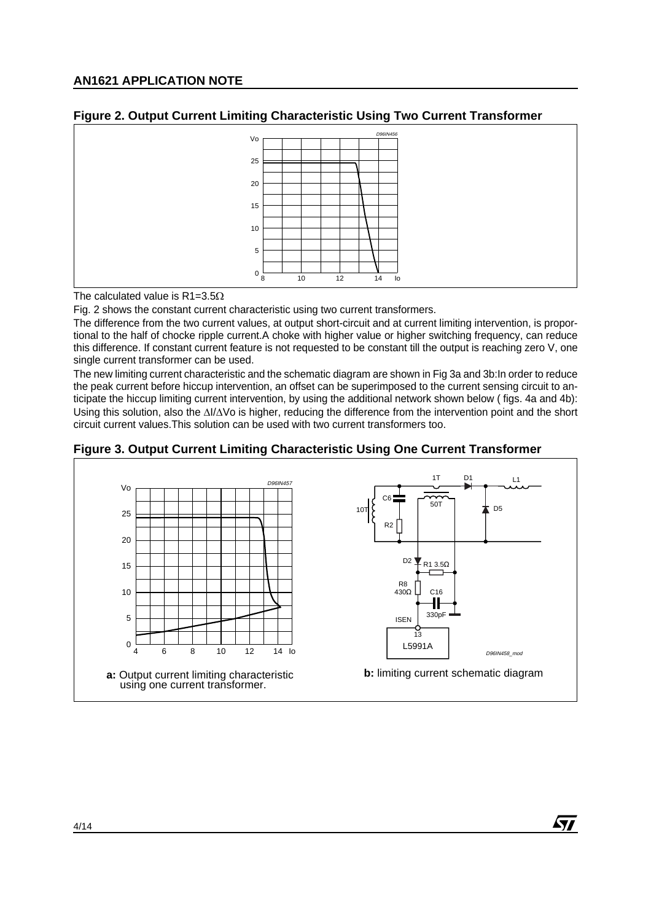



The calculated value is  $R1 = 3.5\Omega$ 

Fig. 2 shows the constant current characteristic using two current transformers.

The difference from the two current values, at output short-circuit and at current limiting intervention, is proportional to the half of chocke ripple current.A choke with higher value or higher switching frequency, can reduce this difference. If constant current feature is not requested to be constant till the output is reaching zero V, one single current transformer can be used.

The new limiting current characteristic and the schematic diagram are shown in Fig 3a and 3b:In order to reduce the peak current before hiccup intervention, an offset can be superimposed to the current sensing circuit to anticipate the hiccup limiting current intervention, by using the additional network shown below ( figs. 4a and 4b): Using this solution, also the ∆I/∆Vo is higher, reducing the difference from the intervention point and the short circuit current values.This solution can be used with two current transformers too.



57

#### **Figure 3. Output Current Limiting Characteristic Using One Current Transformer**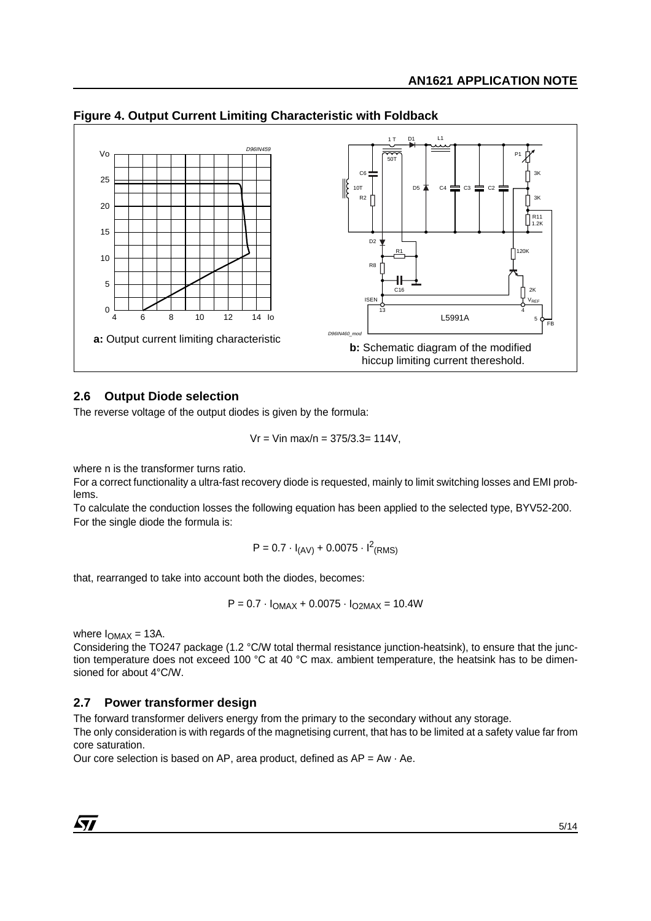

**Figure 4. Output Current Limiting Characteristic with Foldback**

#### **2.6 Output Diode selection**

The reverse voltage of the output diodes is given by the formula:

$$
Ur = Vin max/n = 375/3.3 = 114V,
$$

where n is the transformer turns ratio.

For a correct functionality a ultra-fast recovery diode is requested, mainly to limit switching losses and EMI problems.

To calculate the conduction losses the following equation has been applied to the selected type, BYV52-200. For the single diode the formula is:

 $P = 0.7 \cdot I_{\text{(AV)}} + 0.0075 \cdot I_{\text{(RMS)}}^2$ 

that, rearranged to take into account both the diodes, becomes:

 $P = 0.7 \cdot I_{OMAX} + 0.0075 \cdot I_{O2MAX} = 10.4W$ 

where  $I_{OMAX} = 13A$ .

Considering the TO247 package (1.2 °C/W total thermal resistance junction-heatsink), to ensure that the junction temperature does not exceed 100 °C at 40 °C max. ambient temperature, the heatsink has to be dimensioned for about 4°C/W.

#### **2.7 Power transformer design**

The forward transformer delivers energy from the primary to the secondary without any storage.

The only consideration is with regards of the magnetising current, that has to be limited at a safety value far from core saturation.

Our core selection is based on AP, area product, defined as  $AP = Aw \cdot Ae$ .

 $\sqrt{1}$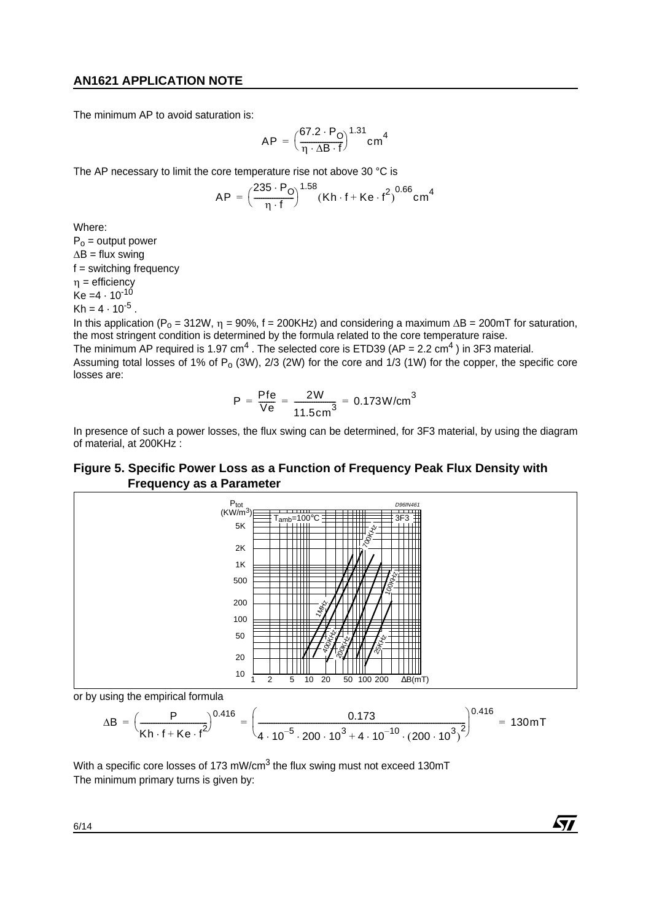The minimum AP to avoid saturation is:

$$
AP = \left(\frac{67.2 \cdot P_O}{\eta \cdot \Delta B \cdot f}\right)^{1.31} cm^4
$$

The AP necessary to limit the core temperature rise not above 30 °C is

$$
AP = \left(\frac{235 \cdot P_O}{\eta \cdot f}\right)^{1.58} (Kh \cdot f + Ke \cdot f^2)^{0.66} cm^4
$$

Where:

 $P_0$  = output power  $\Delta B =$  flux swing f = switching frequency  $\eta$  = efficiency  $Ke = 4 \cdot 10^{-10}$  $Kh = 4 \cdot 10^{-5}$ .

In this application ( $P_0 = 312W$ ,  $n = 90%$ ,  $f = 200KHz$ ) and considering a maximum  $\Delta B = 200mT$  for saturation, the most stringent condition is determined by the formula related to the core temperature raise.

The minimum AP required is 1.97 cm<sup>4</sup>. The selected core is ETD39 (AP = 2.2 cm<sup>4</sup>) in 3F3 material. Assuming total losses of 1% of  $P_0$  (3W), 2/3 (2W) for the core and 1/3 (1W) for the copper, the specific core losses are:

$$
P = \frac{Pfe}{Ve} = \frac{2W}{11.5 \text{cm}^3} = 0.173 \text{W/cm}^3
$$

In presence of such a power losses, the flux swing can be determined, for 3F3 material, by using the diagram of material, at 200KHz :

## **Figure 5. Specific Power Loss as a Function of Frequency Peak Flux Density with Frequency as a Parameter**



or by using the empirical formula

$$
\Delta B = \left(\frac{P}{Kh \cdot f + Ke \cdot f^2}\right)^{0.416} = \left(\frac{0.173}{4 \cdot 10^{-5} \cdot 200 \cdot 10^3 + 4 \cdot 10^{-10} \cdot (200 \cdot 10^3)^2}\right)^{0.416} = 130 mT
$$

57

With a specific core losses of 173 mW/cm<sup>3</sup> the flux swing must not exceed 130mT The minimum primary turns is given by: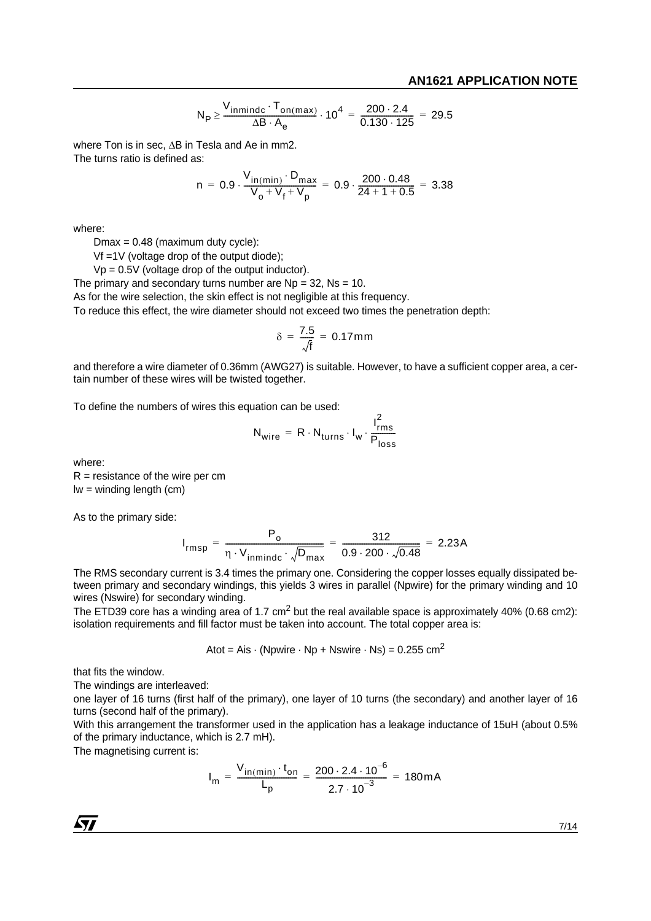$$
N_{P} \ge \frac{V_{inmindc} \cdot T_{on(max)}}{\Delta B \cdot A_{e}} \cdot 10^{4} = \frac{200 \cdot 2.4}{0.130 \cdot 125} = 29.5
$$

where Ton is in sec, ∆B in Tesla and Ae in mm2. The turns ratio is defined as:

n = 0.9. 
$$
\frac{V_{in(min)} \cdot D_{max}}{V_0 + V_f + V_p}
$$
 = 0.9.  $\frac{200 \cdot 0.48}{24 + 1 + 0.5}$  = 3.38

where:

 $Dmax = 0.48$  (maximum duty cycle):

Vf =1V (voltage drop of the output diode);

 $Vp = 0.5V$  (voltage drop of the output inductor).

The primary and secondary turns number are  $Np = 32$ ,  $Ns = 10$ .

As for the wire selection, the skin effect is not negligible at this frequency.

To reduce this effect, the wire diameter should not exceed two times the penetration depth:

$$
\delta = \frac{7.5}{\sqrt{f}} = 0.17 \text{mm}
$$

and therefore a wire diameter of 0.36mm (AWG27) is suitable. However, to have a sufficient copper area, a certain number of these wires will be twisted together.

To define the numbers of wires this equation can be used:

$$
N_{wire} = R \cdot N_{turns} \cdot I_w \cdot \frac{I_{rms}^2}{P_{loss}}
$$

where:

 $R =$  resistance of the wire per cm lw = winding length (cm)

As to the primary side:

$$
I_{rmsp} = \frac{P_0}{\eta \cdot V_{inmindc} \cdot \sqrt{D_{max}}} = \frac{312}{0.9 \cdot 200 \cdot \sqrt{0.48}} = 2.23A
$$

The RMS secondary current is 3.4 times the primary one. Considering the copper losses equally dissipated between primary and secondary windings, this yields 3 wires in parallel (Npwire) for the primary winding and 10 wires (Nswire) for secondary winding.

The ETD39 core has a winding area of 1.7 cm<sup>2</sup> but the real available space is approximately 40% (0.68 cm2): isolation requirements and fill factor must be taken into account. The total copper area is:

Atot = Ais  $\cdot$  (Npwire  $\cdot$  Np + Nswire  $\cdot$  Ns) = 0.255 cm<sup>2</sup>

that fits the window.

The windings are interleaved:

one layer of 16 turns (first half of the primary), one layer of 10 turns (the secondary) and another layer of 16 turns (second half of the primary).

With this arrangement the transformer used in the application has a leakage inductance of 15uH (about 0.5%) of the primary inductance, which is 2.7 mH).

The magnetising current is:

$$
I_m = \frac{V_{in(min)} \cdot t_{on}}{L_p} = \frac{200 \cdot 2.4 \cdot 10^{-6}}{2.7 \cdot 10^{-3}} = 180 mA
$$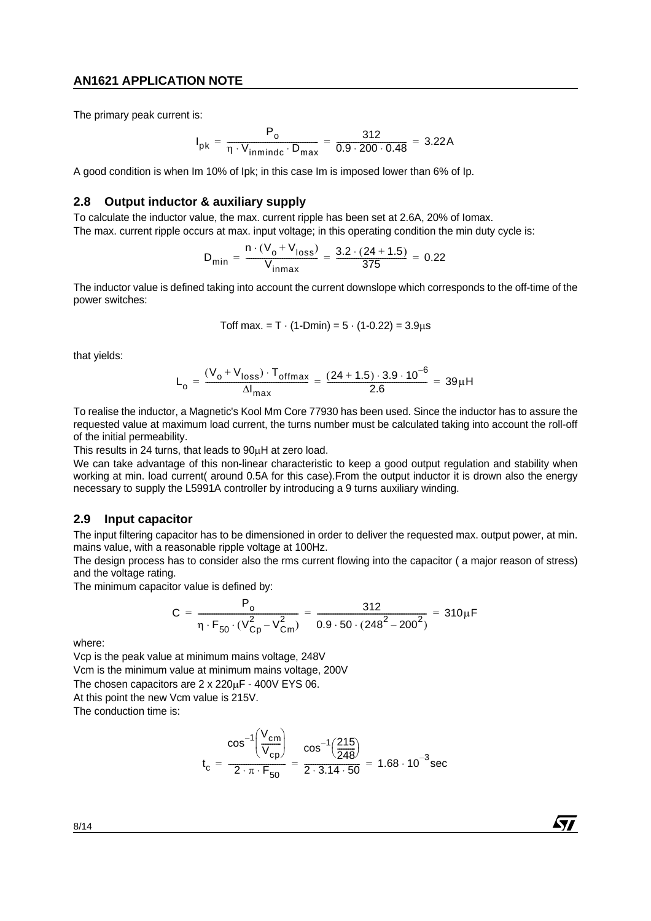The primary peak current is:

$$
I_{pk} = \frac{P_o}{\eta \cdot V_{inmindc} \cdot D_{max}} = \frac{312}{0.9 \cdot 200 \cdot 0.48} = 3.22A
$$

A good condition is when Im 10% of Ipk; in this case Im is imposed lower than 6% of Ip.

#### **2.8 Output inductor & auxiliary supply**

To calculate the inductor value, the max. current ripple has been set at 2.6A, 20% of Iomax.

The max. current ripple occurs at max. input voltage; in this operating condition the min duty cycle is:

$$
D_{\min} = \frac{n \cdot (V_o + V_{loss})}{V_{inmax}} = \frac{3.2 \cdot (24 + 1.5)}{375} = 0.22
$$

The inductor value is defined taking into account the current downslope which corresponds to the off-time of the power switches:

Toff max. = T · (1-Dmin) = 
$$
5 \cdot (1-0.22) = 3.9\mu s
$$

that yields:

$$
L_{o} = \frac{(V_{o} + V_{loss}) \cdot T_{offmax}}{\Delta I_{max}} = \frac{(24 + 1.5) \cdot 3.9 \cdot 10^{-6}}{2.6} = 39 \mu H
$$

To realise the inductor, a Magnetic's Kool Mm Core 77930 has been used. Since the inductor has to assure the requested value at maximum load current, the turns number must be calculated taking into account the roll-off of the initial permeability.

This results in 24 turns, that leads to 90µH at zero load.

We can take advantage of this non-linear characteristic to keep a good output regulation and stability when working at min. load current( around 0.5A for this case).From the output inductor it is drown also the energy necessary to supply the L5991A controller by introducing a 9 turns auxiliary winding.

#### **2.9 Input capacitor**

The input filtering capacitor has to be dimensioned in order to deliver the requested max. output power, at min. mains value, with a reasonable ripple voltage at 100Hz.

The design process has to consider also the rms current flowing into the capacitor ( a major reason of stress) and the voltage rating.

The minimum capacitor value is defined by:

$$
C = \frac{P_o}{\eta \cdot F_{50} \cdot (V_{Cp}^2 - V_{Cm}^2)} = \frac{312}{0.9 \cdot 50 \cdot (248^2 - 200^2)} = 310 \mu F
$$

where:

Vcp is the peak value at minimum mains voltage, 248V

Vcm is the minimum value at minimum mains voltage, 200V

The chosen capacitors are 2 x 220µF - 400V EYS 06.

At this point the new Vcm value is 215V.

The conduction time is:

$$
t_c = \frac{\cos^{-1}\left(\frac{V_{cm}}{V_{cp}}\right)}{2 \cdot \pi \cdot F_{50}} = \frac{\cos^{-1}\left(\frac{215}{248}\right)}{2 \cdot 3.14 \cdot 50} = 1.68 \cdot 10^{-3} \text{sec}
$$

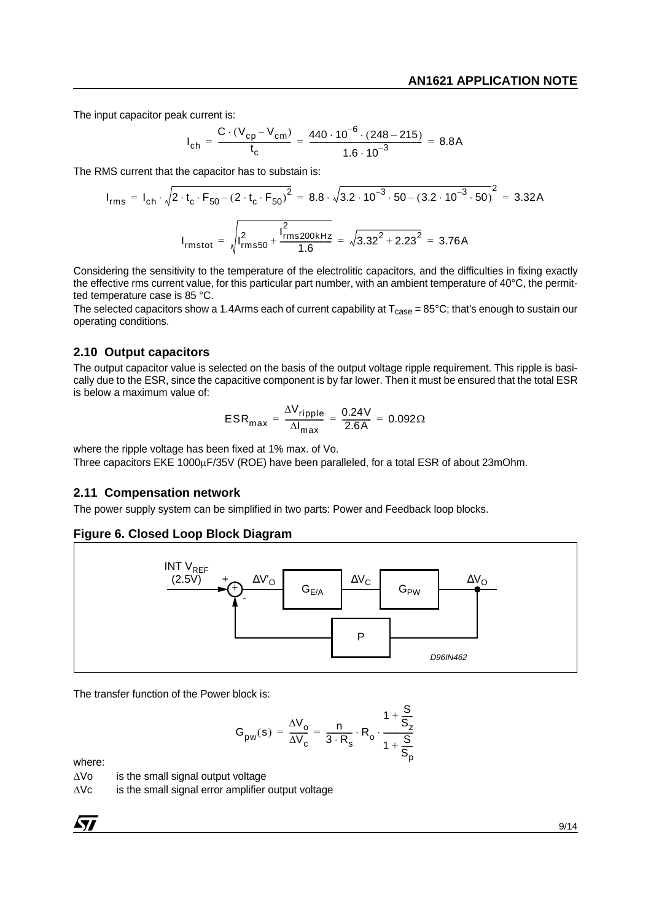The input capacitor peak current is:

$$
I_{ch} = \frac{C \cdot (V_{cp} - V_{cm})}{t_c} = \frac{440 \cdot 10^{-6} \cdot (248 - 215)}{1.6 \cdot 10^{-3}} = 8.8A
$$

The RMS current that the capacitor has to substain is:

$$
I_{rms} = I_{ch} \cdot \sqrt{2 \cdot t_c \cdot F_{50} - (2 \cdot t_c \cdot F_{50})^2} = 8.8 \cdot \sqrt{3.2 \cdot 10^{-3} \cdot 50 - (3.2 \cdot 10^{-3} \cdot 50)^2} = 3.32A
$$
  

$$
I_{rmstot} = \sqrt{I_{rms50}^2 + \frac{I_{rms200kHz}^2}{1.6}} = \sqrt{3.32^2 + 2.23^2} = 3.76A
$$

Considering the sensitivity to the temperature of the electrolitic capacitors, and the difficulties in fixing exactly the effective rms current value, for this particular part number, with an ambient temperature of 40°C, the permitted temperature case is 85 °C.

The selected capacitors show a 1.4Arms each of current capability at  $T_{\text{case}} = 85^{\circ}\text{C}$ ; that's enough to sustain our operating conditions.

#### **2.10 Output capacitors**

The output capacitor value is selected on the basis of the output voltage ripple requirement. This ripple is basically due to the ESR, since the capacitive component is by far lower. Then it must be ensured that the total ESR is below a maximum value of:

$$
ESR_{\text{max}} = \frac{\Delta V_{\text{ripple}}}{\Delta I_{\text{max}}} = \frac{0.24 \text{V}}{2.6 \text{A}} = 0.092 \Omega
$$

where the ripple voltage has been fixed at 1% max. of Vo.

Three capacitors EKE 1000uF/35V (ROE) have been paralleled, for a total ESR of about 23mOhm.

#### **2.11 Compensation network**

The power supply system can be simplified in two parts: Power and Feedback loop blocks.

#### **Figure 6. Closed Loop Block Diagram**



The transfer function of the Power block is:

$$
G_{pw}(s) = \frac{\Delta V_o}{\Delta V_c} = \frac{n}{3 \cdot R_s} \cdot R_o \cdot \frac{1 + \frac{S}{S_z}}{1 + \frac{S}{S_p}}
$$

where:

- ∆Vo is the small signal output voltage
- ∆Vc is the small signal error amplifier output voltage

$$
\overline{\mathbf{M}}
$$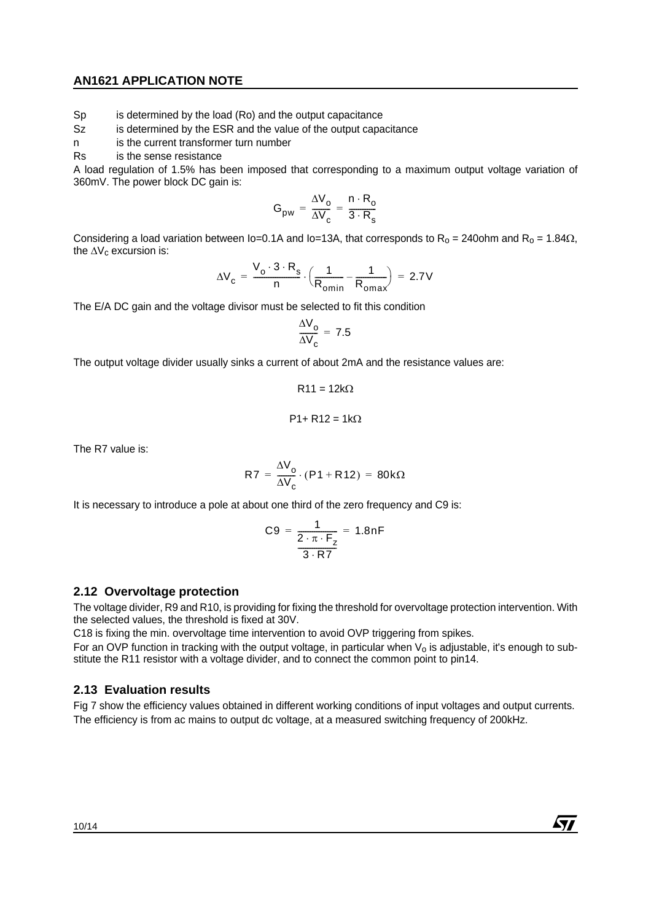Sp is determined by the load (Ro) and the output capacitance

Sz is determined by the ESR and the value of the output capacitance

n is the current transformer turn number

Rs is the sense resistance

A load regulation of 1.5% has been imposed that corresponding to a maximum output voltage variation of 360mV. The power block DC gain is:

$$
G_{pw} = \frac{\Delta V_o}{\Delta V_c} = \frac{n \cdot R_o}{3 \cdot R_s}
$$

Considering a load variation between Io=0.1A and Io=13A, that corresponds to R<sub>o</sub> = 240ohm and R<sub>o</sub> = 1.84 $\Omega$ , the  $\Delta V_c$  excursion is:

$$
\Delta V_{\rm c} = \frac{V_{\rm o} \cdot 3 \cdot R_{\rm s}}{n} \cdot \left(\frac{1}{R_{\rm omin}} - \frac{1}{R_{\rm omax}}\right) = 2.7V
$$

The E/A DC gain and the voltage divisor must be selected to fit this condition

$$
\frac{\Delta V_{o}}{\Delta V_{c}} = 7.5
$$

The output voltage divider usually sinks a current of about 2mA and the resistance values are:

$$
R11 = 12k\Omega
$$

$$
P1 + R12 = 1k\Omega
$$

The R7 value is:

$$
R7 = \frac{\Delta V_o}{\Delta V_c} \cdot (P1 + R12) = 80k\Omega
$$

It is necessary to introduce a pole at about one third of the zero frequency and C9 is:

$$
C9 = \frac{1}{\frac{2 \cdot \pi \cdot F_z}{3 \cdot RT}} = 1.8nF
$$

#### **2.12 Overvoltage protection**

The voltage divider, R9 and R10, is providing for fixing the threshold for overvoltage protection intervention. With the selected values, the threshold is fixed at 30V.

C18 is fixing the min. overvoltage time intervention to avoid OVP triggering from spikes.

For an OVP function in tracking with the output voltage, in particular when  $V_0$  is adjustable, it's enough to substitute the R11 resistor with a voltage divider, and to connect the common point to pin14.

### **2.13 Evaluation results**

Fig 7 show the efficiency values obtained in different working conditions of input voltages and output currents. The efficiency is from ac mains to output dc voltage, at a measured switching frequency of 200kHz.

$$
\sqrt{M}
$$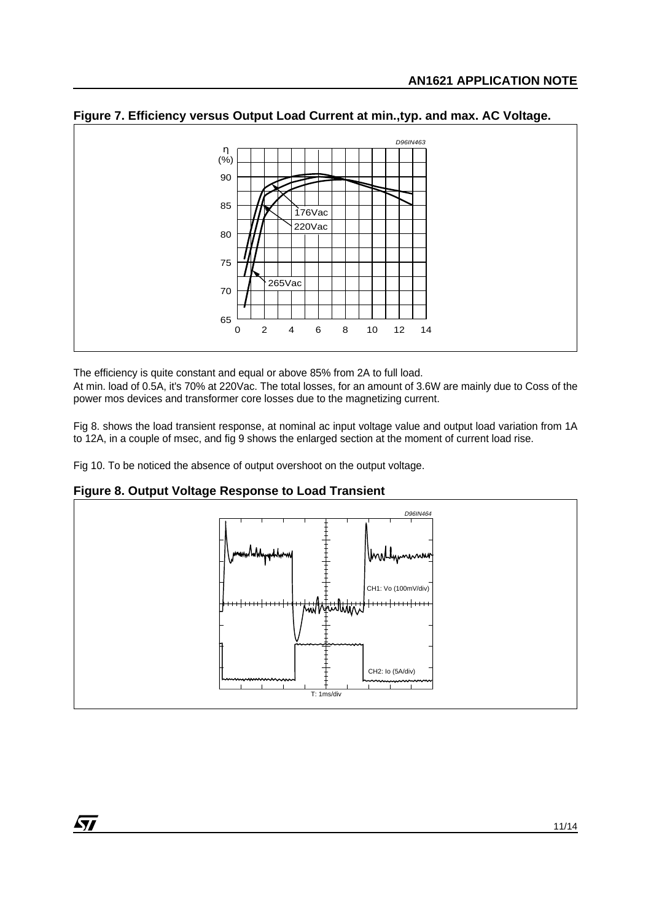

**Figure 7. Efficiency versus Output Load Current at min.,typ. and max. AC Voltage.**

The efficiency is quite constant and equal or above 85% from 2A to full load. At min. load of 0.5A, it's 70% at 220Vac. The total losses, for an amount of 3.6W are mainly due to Coss of the

power mos devices and transformer core losses due to the magnetizing current.

Fig 8. shows the load transient response, at nominal ac input voltage value and output load variation from 1A to 12A, in a couple of msec, and fig 9 shows the enlarged section at the moment of current load rise.

Fig 10. To be noticed the absence of output overshoot on the output voltage.



**Figure 8. Output Voltage Response to Load Transient**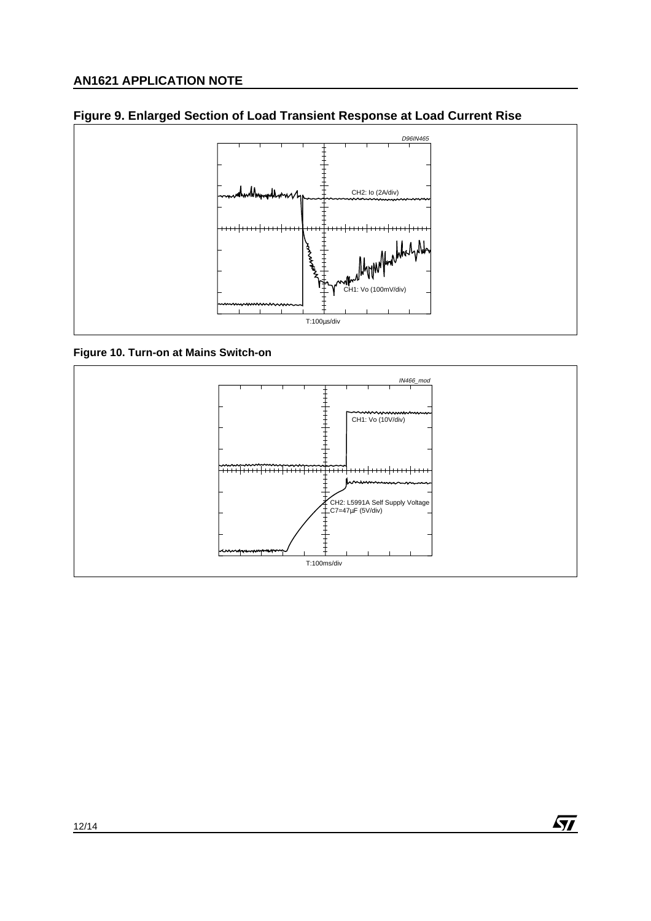



**Figure 10. Turn-on at Mains Switch-on**



 $\sqrt{M}$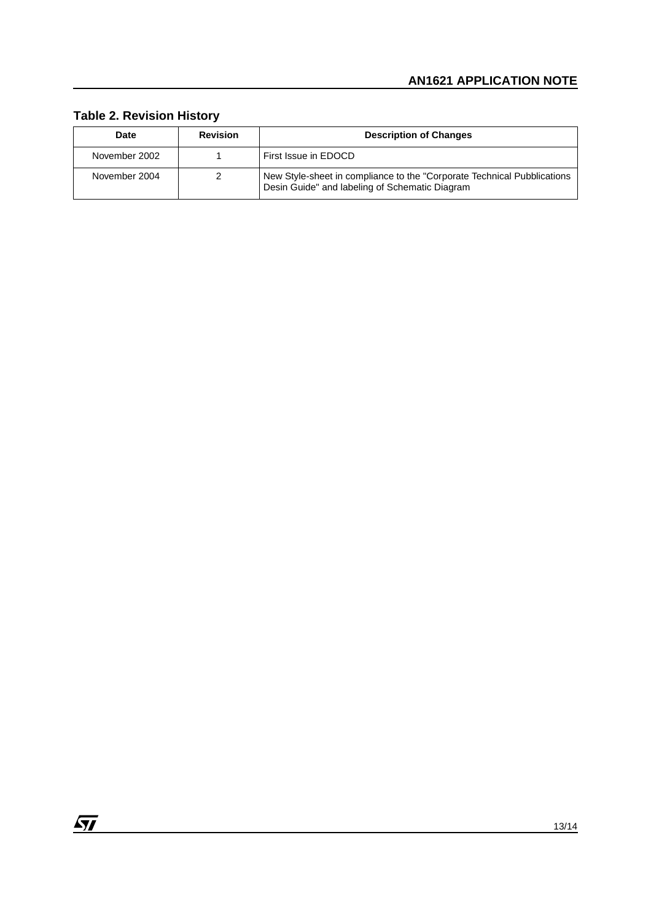## **Table 2. Revision History**

| Date          | <b>Revision</b> | <b>Description of Changes</b>                                                                                              |
|---------------|-----------------|----------------------------------------------------------------------------------------------------------------------------|
| November 2002 |                 | First Issue in EDOCD                                                                                                       |
| November 2004 |                 | New Style-sheet in compliance to the "Corporate Technical Pubblications"<br>Desin Guide" and labeling of Schematic Diagram |

<u> 1989 - Johann Barn, mars ar breist fan de Fryske k</u>